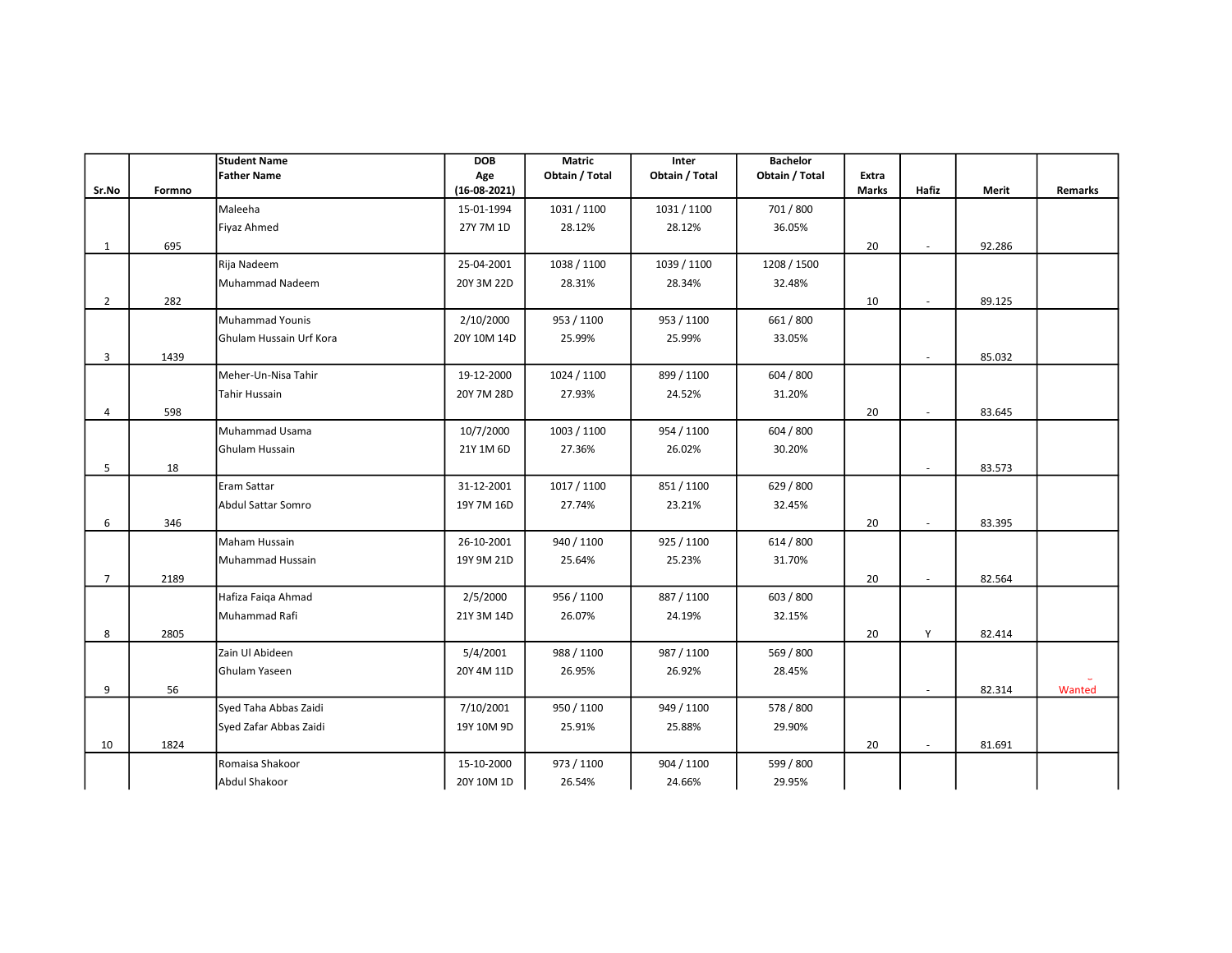|                         |        | <b>Student Name</b>     | <b>DOB</b>            | Matric         | Inter          | <b>Bachelor</b> |                |        |        |         |
|-------------------------|--------|-------------------------|-----------------------|----------------|----------------|-----------------|----------------|--------|--------|---------|
| Sr.No                   | Formno | <b>Father Name</b>      | Age<br>$(16-08-2021)$ | Obtain / Total | Obtain / Total | Obtain / Total  | Extra<br>Marks | Hafiz  | Merit  | Remarks |
|                         |        |                         |                       |                |                |                 |                |        |        |         |
|                         |        | Maleeha                 | 15-01-1994            | 1031 / 1100    | 1031 / 1100    | 701 / 800       |                |        |        |         |
|                         |        | Fiyaz Ahmed             | 27Y 7M 1D             | 28.12%         | 28.12%         | 36.05%          |                |        |        |         |
| 1                       | 695    |                         |                       |                |                |                 | 20             | $\sim$ | 92.286 |         |
|                         |        | Rija Nadeem             | 25-04-2001            | 1038 / 1100    | 1039 / 1100    | 1208 / 1500     |                |        |        |         |
|                         |        | Muhammad Nadeem         | 20Y 3M 22D            | 28.31%         | 28.34%         | 32.48%          |                |        |        |         |
| $\overline{2}$          | 282    |                         |                       |                |                |                 | 10             | $\sim$ | 89.125 |         |
|                         |        | <b>Muhammad Younis</b>  | 2/10/2000             | 953 / 1100     | 953 / 1100     | 661 / 800       |                |        |        |         |
|                         |        | Ghulam Hussain Urf Kora | 20Y 10M 14D           | 25.99%         | 25.99%         | 33.05%          |                |        |        |         |
| $\overline{\mathbf{3}}$ | 1439   |                         |                       |                |                |                 |                |        | 85.032 |         |
|                         |        | Meher-Un-Nisa Tahir     | 19-12-2000            | 1024 / 1100    | 899 / 1100     | 604 / 800       |                |        |        |         |
|                         |        | Tahir Hussain           | 20Y 7M 28D            | 27.93%         | 24.52%         | 31.20%          |                |        |        |         |
| $\overline{4}$          | 598    |                         |                       |                |                |                 | 20             | ٠      | 83.645 |         |
|                         |        | Muhammad Usama          | 10/7/2000             | 1003 / 1100    | 954 / 1100     | 604 / 800       |                |        |        |         |
|                         |        | Ghulam Hussain          | 21Y 1M 6D             | 27.36%         | 26.02%         | 30.20%          |                |        |        |         |
| 5                       | 18     |                         |                       |                |                |                 |                | $\sim$ | 83.573 |         |
|                         |        | Eram Sattar             | 31-12-2001            | 1017 / 1100    | 851/1100       | 629 / 800       |                |        |        |         |
|                         |        | Abdul Sattar Somro      | 19Y 7M 16D            | 27.74%         | 23.21%         | 32.45%          |                |        |        |         |
| 6                       | 346    |                         |                       |                |                |                 | 20             |        | 83.395 |         |
|                         |        | Maham Hussain           | 26-10-2001            | 940 / 1100     | 925 / 1100     | 614 / 800       |                |        |        |         |
|                         |        | Muhammad Hussain        | 19Y 9M 21D            | 25.64%         | 25.23%         | 31.70%          |                |        |        |         |
| $\overline{7}$          | 2189   |                         |                       |                |                |                 | 20             |        | 82.564 |         |
|                         |        |                         |                       |                |                | 603 / 800       |                |        |        |         |
|                         |        | Hafiza Faiqa Ahmad      | 2/5/2000              | 956 / 1100     | 887 / 1100     |                 |                |        |        |         |
|                         |        | Muhammad Rafi           | 21Y 3M 14D            | 26.07%         | 24.19%         | 32.15%          |                |        |        |         |
| 8                       | 2805   |                         |                       |                |                |                 | 20             | Y      | 82.414 |         |
|                         |        | Zain Ul Abideen         | 5/4/2001              | 988 / 1100     | 987 / 1100     | 569 / 800       |                |        |        |         |
|                         |        | Ghulam Yaseen           | 20Y 4M 11D            | 26.95%         | 26.92%         | 28.45%          |                |        |        |         |
| 9                       | 56     |                         |                       |                |                |                 |                | $\sim$ | 82.314 | Wanted  |
|                         |        | Syed Taha Abbas Zaidi   | 7/10/2001             | 950 / 1100     | 949 / 1100     | 578 / 800       |                |        |        |         |
|                         |        | Syed Zafar Abbas Zaidi  | 19Y 10M 9D            | 25.91%         | 25.88%         | 29.90%          |                |        |        |         |
| 10                      | 1824   |                         |                       |                |                |                 | 20             | $\sim$ | 81.691 |         |
|                         |        | Romaisa Shakoor         | 15-10-2000            | 973 / 1100     | 904 / 1100     | 599 / 800       |                |        |        |         |
|                         |        | Abdul Shakoor           | 20Y 10M 1D            | 26.54%         | 24.66%         | 29.95%          |                |        |        |         |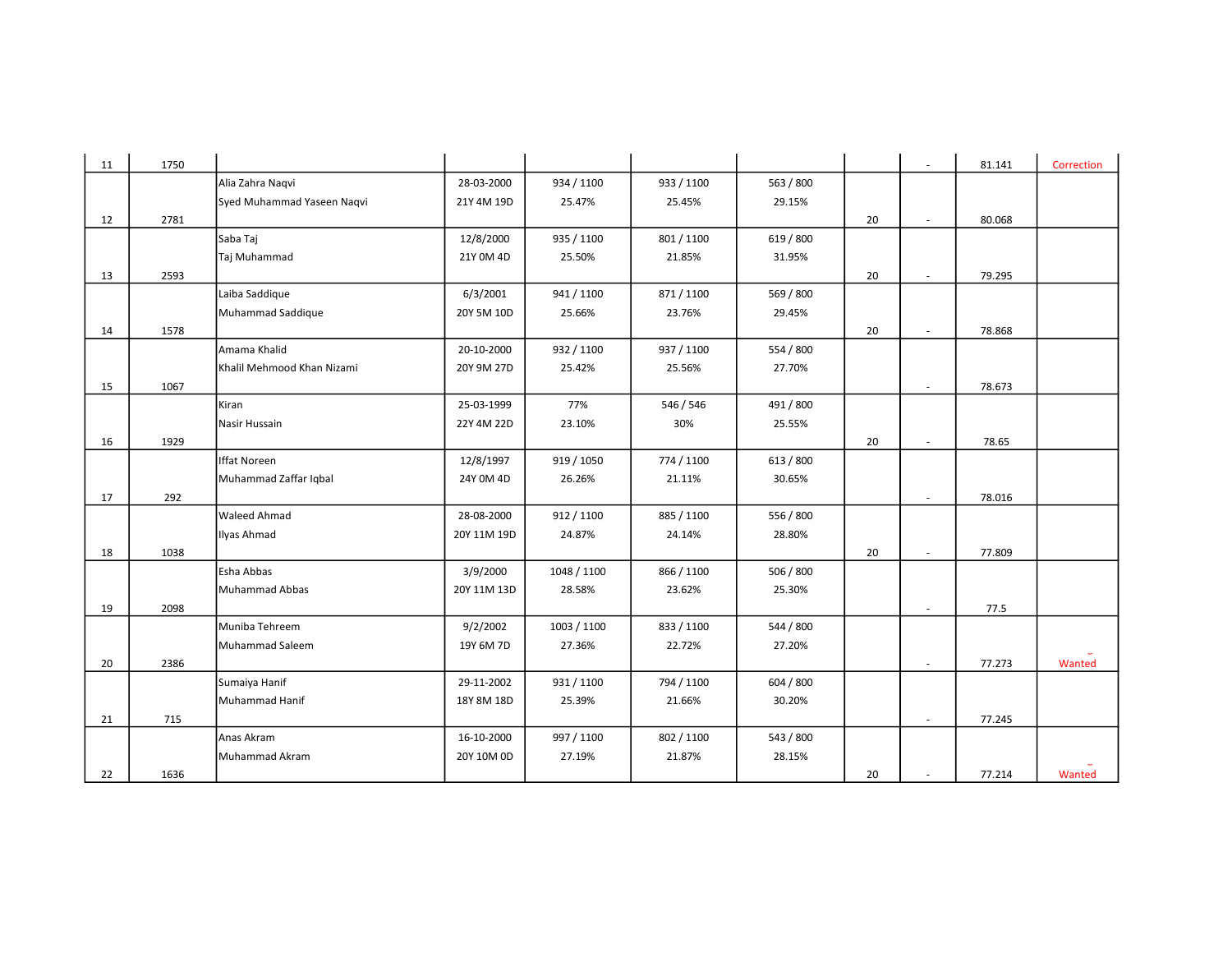| 11 | 1750 |                            |             |             |            |           |    | $\sim$                   | 81.141 | Correction |
|----|------|----------------------------|-------------|-------------|------------|-----------|----|--------------------------|--------|------------|
|    |      | Alia Zahra Nagvi           | 28-03-2000  | 934 / 1100  | 933 / 1100 | 563 / 800 |    |                          |        |            |
|    |      | Syed Muhammad Yaseen Naqvi | 21Y 4M 19D  | 25.47%      | 25.45%     | 29.15%    |    |                          |        |            |
| 12 | 2781 |                            |             |             |            |           | 20 |                          | 80.068 |            |
|    |      | Saba Taj                   | 12/8/2000   | 935 / 1100  | 801 / 1100 | 619 / 800 |    |                          |        |            |
|    |      | Taj Muhammad               | 21Y 0M 4D   | 25.50%      | 21.85%     | 31.95%    |    |                          |        |            |
| 13 | 2593 |                            |             |             |            |           | 20 | $\sim$                   | 79.295 |            |
|    |      | Laiba Saddique             | 6/3/2001    | 941 / 1100  | 871/1100   | 569 / 800 |    |                          |        |            |
|    |      | Muhammad Saddique          | 20Y 5M 10D  | 25.66%      | 23.76%     | 29.45%    |    |                          |        |            |
| 14 | 1578 |                            |             |             |            |           | 20 | $\overline{\phantom{a}}$ | 78.868 |            |
|    |      | Amama Khalid               | 20-10-2000  | 932 / 1100  | 937 / 1100 | 554 / 800 |    |                          |        |            |
|    |      | Khalil Mehmood Khan Nizami | 20Y 9M 27D  | 25.42%      | 25.56%     | 27.70%    |    |                          |        |            |
| 15 | 1067 |                            |             |             |            |           |    |                          | 78.673 |            |
|    |      | Kiran                      | 25-03-1999  | 77%         | 546 / 546  | 491 / 800 |    |                          |        |            |
|    |      | Nasir Hussain              | 22Y 4M 22D  | 23.10%      | 30%        | 25.55%    |    |                          |        |            |
| 16 | 1929 |                            |             |             |            |           | 20 | $\sim$                   | 78.65  |            |
|    |      | <b>Iffat Noreen</b>        | 12/8/1997   | 919 / 1050  | 774 / 1100 | 613 / 800 |    |                          |        |            |
|    |      | Muhammad Zaffar Iqbal      | 24Y 0M 4D   | 26.26%      | 21.11%     | 30.65%    |    |                          |        |            |
| 17 | 292  |                            |             |             |            |           |    |                          | 78.016 |            |
|    |      | <b>Waleed Ahmad</b>        | 28-08-2000  | 912 / 1100  | 885 / 1100 | 556 / 800 |    |                          |        |            |
|    |      | Ilyas Ahmad                | 20Y 11M 19D | 24.87%      | 24.14%     | 28.80%    |    |                          |        |            |
| 18 | 1038 |                            |             |             |            |           | 20 | ×.                       | 77.809 |            |
|    |      | Esha Abbas                 | 3/9/2000    | 1048 / 1100 | 866 / 1100 | 506 / 800 |    |                          |        |            |
|    |      | Muhammad Abbas             | 20Y 11M 13D | 28.58%      | 23.62%     | 25.30%    |    |                          |        |            |
| 19 | 2098 |                            |             |             |            |           |    | $\overline{\phantom{a}}$ | 77.5   |            |
|    |      | Muniba Tehreem             | 9/2/2002    | 1003 / 1100 | 833 / 1100 | 544 / 800 |    |                          |        |            |
|    |      | Muhammad Saleem            | 19Y 6M 7D   | 27.36%      | 22.72%     | 27.20%    |    |                          |        |            |
| 20 | 2386 |                            |             |             |            |           |    |                          | 77.273 | Wanted     |
|    |      | Sumaiya Hanif              | 29-11-2002  | 931 / 1100  | 794 / 1100 | 604 / 800 |    |                          |        |            |
|    |      | Muhammad Hanif             | 18Y 8M 18D  | 25.39%      | 21.66%     | 30.20%    |    |                          |        |            |
| 21 | 715  |                            |             |             |            |           |    | $\overline{\phantom{a}}$ | 77.245 |            |
|    |      | Anas Akram                 | 16-10-2000  | 997 / 1100  | 802 / 1100 | 543 / 800 |    |                          |        |            |
|    |      | Muhammad Akram             | 20Y 10M 0D  | 27.19%      | 21.87%     | 28.15%    |    |                          |        |            |
| 22 | 1636 |                            |             |             |            |           | 20 | $\sim$                   | 77.214 | Wanted     |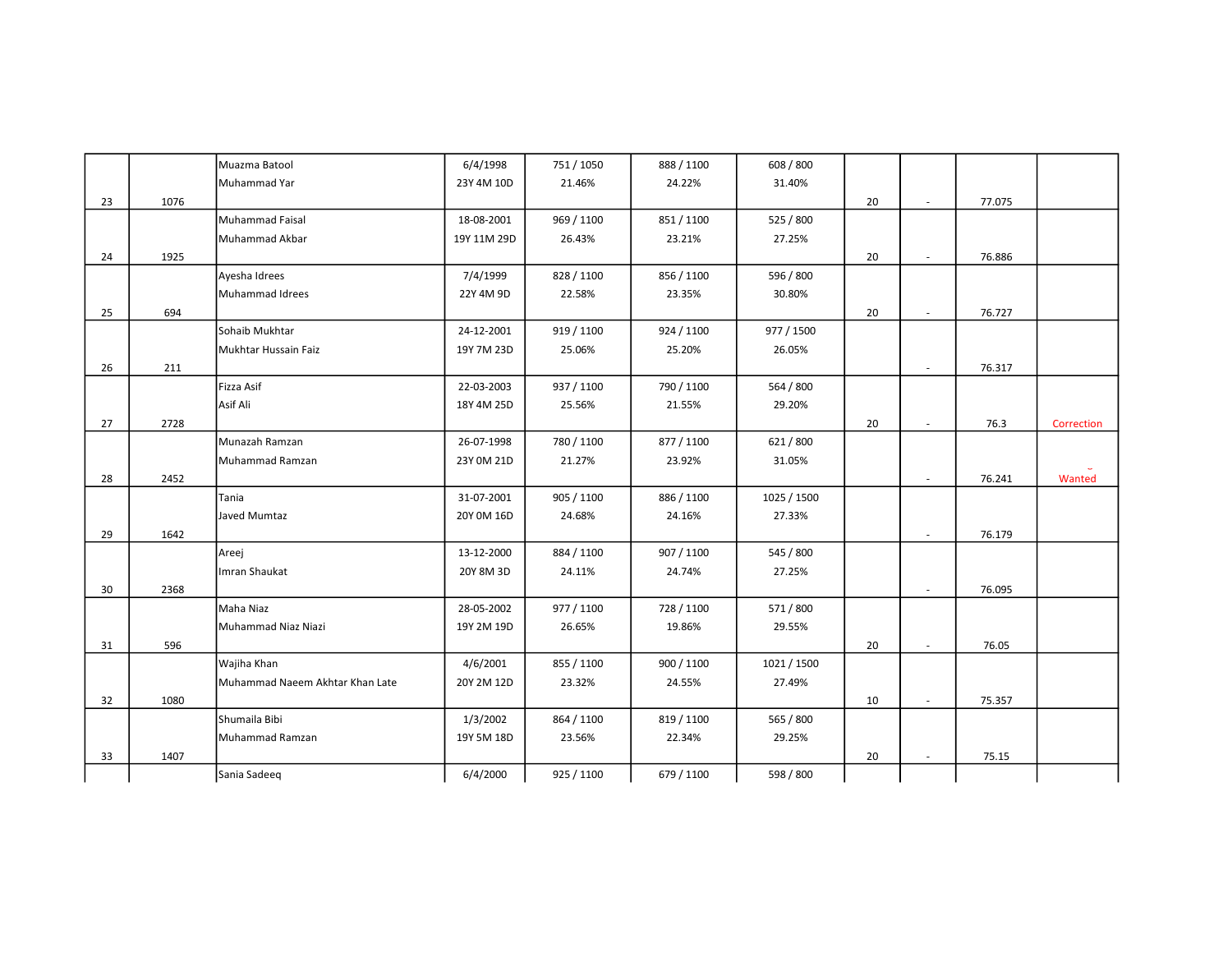|    |      | Muazma Batool                   | 6/4/1998    | 751 / 1050 | 888 / 1100 | 608 / 800   |    |                             |        |            |
|----|------|---------------------------------|-------------|------------|------------|-------------|----|-----------------------------|--------|------------|
|    |      | Muhammad Yar                    | 23Y 4M 10D  | 21.46%     | 24.22%     | 31.40%      |    |                             |        |            |
| 23 | 1076 |                                 |             |            |            |             | 20 | $\sim$                      | 77.075 |            |
|    |      | Muhammad Faisal                 | 18-08-2001  | 969 / 1100 | 851/1100   | 525 / 800   |    |                             |        |            |
|    |      | Muhammad Akbar                  | 19Y 11M 29D | 26.43%     | 23.21%     | 27.25%      |    |                             |        |            |
| 24 | 1925 |                                 |             |            |            |             | 20 | $\sim$                      | 76.886 |            |
|    |      | Ayesha Idrees                   | 7/4/1999    | 828 / 1100 | 856 / 1100 | 596 / 800   |    |                             |        |            |
|    |      | Muhammad Idrees                 | 22Y 4M 9D   | 22.58%     | 23.35%     | 30.80%      |    |                             |        |            |
| 25 | 694  |                                 |             |            |            |             | 20 | $\mathcal{L}_{\mathcal{A}}$ | 76.727 |            |
|    |      | Sohaib Mukhtar                  | 24-12-2001  | 919 / 1100 | 924 / 1100 | 977 / 1500  |    |                             |        |            |
|    |      | Mukhtar Hussain Faiz            | 19Y 7M 23D  | 25.06%     | 25.20%     | 26.05%      |    |                             |        |            |
| 26 | 211  |                                 |             |            |            |             |    | $\overline{\phantom{a}}$    | 76.317 |            |
|    |      | Fizza Asif                      | 22-03-2003  | 937 / 1100 | 790 / 1100 | 564 / 800   |    |                             |        |            |
|    |      | Asif Ali                        | 18Y 4M 25D  | 25.56%     | 21.55%     | 29.20%      |    |                             |        |            |
| 27 | 2728 |                                 |             |            |            |             | 20 | $\sim$                      | 76.3   | Correction |
|    |      | Munazah Ramzan                  | 26-07-1998  | 780 / 1100 | 877 / 1100 | 621/800     |    |                             |        |            |
|    |      | Muhammad Ramzan                 | 23Y 0M 21D  | 21.27%     | 23.92%     | 31.05%      |    |                             |        |            |
| 28 | 2452 |                                 |             |            |            |             |    | $\overline{\phantom{a}}$    | 76.241 | Wanted     |
|    |      | Tania                           | 31-07-2001  | 905 / 1100 | 886 / 1100 | 1025 / 1500 |    |                             |        |            |
|    |      | Javed Mumtaz                    | 20Y 0M 16D  | 24.68%     | 24.16%     | 27.33%      |    |                             |        |            |
| 29 | 1642 |                                 |             |            |            |             |    | $\sim$                      | 76.179 |            |
|    |      | Areej                           | 13-12-2000  | 884 / 1100 | 907 / 1100 | 545 / 800   |    |                             |        |            |
|    |      | Imran Shaukat                   | 20Y 8M 3D   | 24.11%     | 24.74%     | 27.25%      |    |                             |        |            |
| 30 | 2368 |                                 |             |            |            |             |    | ×.                          | 76.095 |            |
|    |      | Maha Niaz                       | 28-05-2002  | 977 / 1100 | 728 / 1100 | 571 / 800   |    |                             |        |            |
|    |      | Muhammad Niaz Niazi             | 19Y 2M 19D  | 26.65%     | 19.86%     | 29.55%      |    |                             |        |            |
| 31 | 596  |                                 |             |            |            |             | 20 | $\mathbf{r}$                | 76.05  |            |
|    |      | Wajiha Khan                     | 4/6/2001    | 855 / 1100 | 900 / 1100 | 1021 / 1500 |    |                             |        |            |
|    |      | Muhammad Naeem Akhtar Khan Late | 20Y 2M 12D  | 23.32%     | 24.55%     | 27.49%      |    |                             |        |            |
| 32 | 1080 |                                 |             |            |            |             | 10 | ×.                          | 75.357 |            |
|    |      | Shumaila Bibi                   | 1/3/2002    | 864 / 1100 | 819 / 1100 | 565 / 800   |    |                             |        |            |
|    |      | Muhammad Ramzan                 | 19Y 5M 18D  | 23.56%     | 22.34%     | 29.25%      |    |                             |        |            |
| 33 | 1407 |                                 |             |            |            |             | 20 | $\sim$                      | 75.15  |            |
|    |      | Sania Sadeeq                    | 6/4/2000    | 925 / 1100 | 679 / 1100 | 598 / 800   |    |                             |        |            |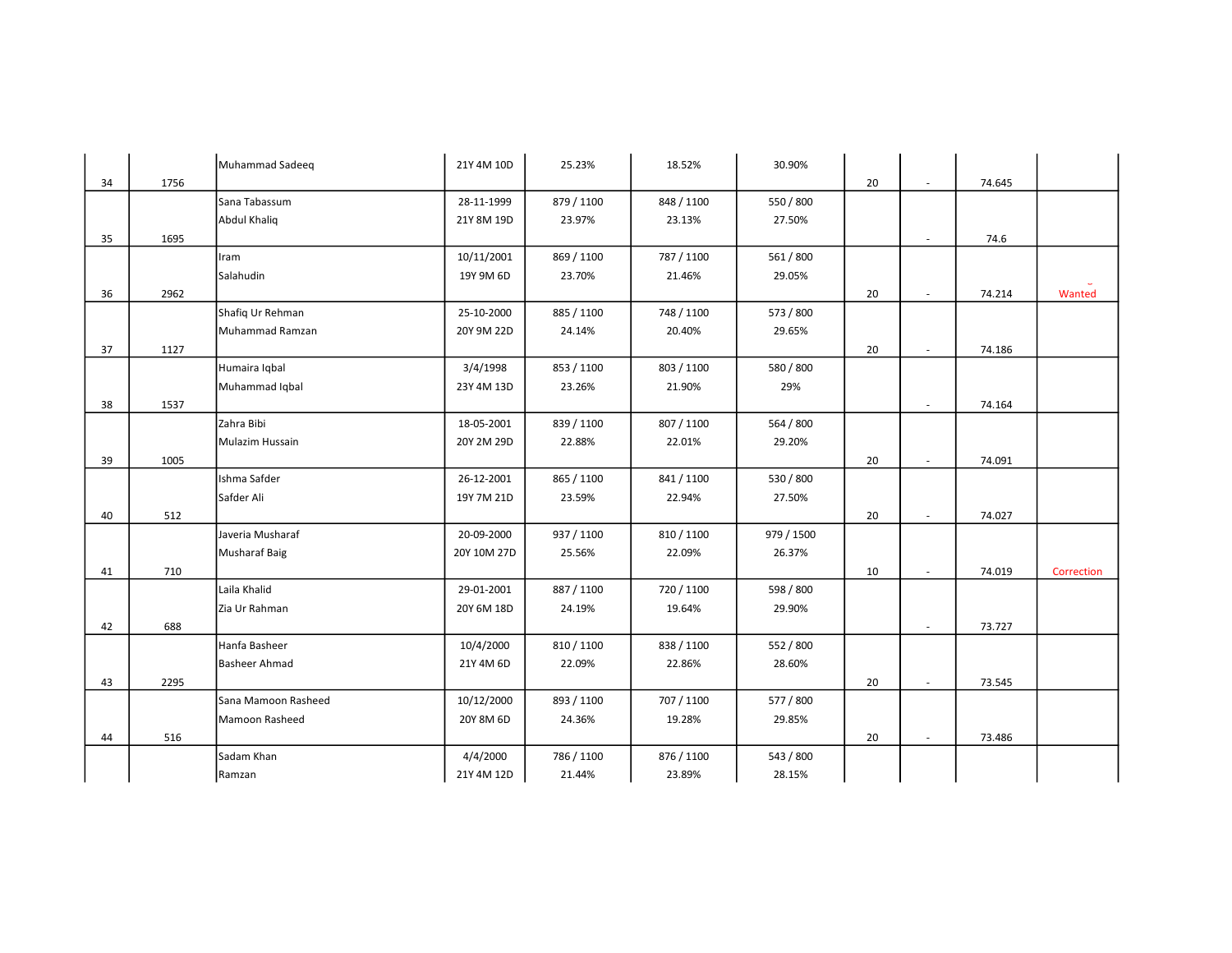|    |      | Muhammad Sadeeq      | 21Y 4M 10D  | 25.23%     | 18.52%     | 30.90%     |    |        |        |            |
|----|------|----------------------|-------------|------------|------------|------------|----|--------|--------|------------|
| 34 | 1756 |                      |             |            |            |            | 20 | $\sim$ | 74.645 |            |
|    |      | Sana Tabassum        | 28-11-1999  | 879 / 1100 | 848 / 1100 | 550 / 800  |    |        |        |            |
|    |      | <b>Abdul Khaliq</b>  | 21Y 8M 19D  | 23.97%     | 23.13%     | 27.50%     |    |        |        |            |
| 35 | 1695 |                      |             |            |            |            |    | $\sim$ | 74.6   |            |
|    |      | Iram                 | 10/11/2001  | 869 / 1100 | 787 / 1100 | 561 / 800  |    |        |        |            |
|    |      | Salahudin            | 19Y 9M 6D   | 23.70%     | 21.46%     | 29.05%     |    |        |        |            |
| 36 | 2962 |                      |             |            |            |            | 20 | $\sim$ | 74.214 | Wanted     |
|    |      | Shafiq Ur Rehman     | 25-10-2000  | 885 / 1100 | 748 / 1100 | 573 / 800  |    |        |        |            |
|    |      | Muhammad Ramzan      | 20Y 9M 22D  | 24.14%     | 20.40%     | 29.65%     |    |        |        |            |
| 37 | 1127 |                      |             |            |            |            | 20 | $\sim$ | 74.186 |            |
|    |      | Humaira Iqbal        | 3/4/1998    | 853 / 1100 | 803 / 1100 | 580 / 800  |    |        |        |            |
|    |      | Muhammad Iqbal       | 23Y 4M 13D  | 23.26%     | 21.90%     | 29%        |    |        |        |            |
| 38 | 1537 |                      |             |            |            |            |    | $\sim$ | 74.164 |            |
|    |      | Zahra Bibi           | 18-05-2001  | 839 / 1100 | 807 / 1100 | 564 / 800  |    |        |        |            |
|    |      | Mulazim Hussain      | 20Y 2M 29D  | 22.88%     | 22.01%     | 29.20%     |    |        |        |            |
| 39 | 1005 |                      |             |            |            |            | 20 | ×.     | 74.091 |            |
|    |      | Ishma Safder         | 26-12-2001  | 865 / 1100 | 841 / 1100 | 530 / 800  |    |        |        |            |
|    |      | Safder Ali           | 19Y 7M 21D  | 23.59%     | 22.94%     | 27.50%     |    |        |        |            |
| 40 | 512  |                      |             |            |            |            | 20 | $\sim$ | 74.027 |            |
|    |      | Javeria Musharaf     | 20-09-2000  | 937 / 1100 | 810 / 1100 | 979 / 1500 |    |        |        |            |
|    |      | <b>Musharaf Baig</b> | 20Y 10M 27D | 25.56%     | 22.09%     | 26.37%     |    |        |        |            |
| 41 | 710  |                      |             |            |            |            | 10 | $\sim$ | 74.019 | Correction |
|    |      | Laila Khalid         | 29-01-2001  | 887 / 1100 | 720 / 1100 | 598 / 800  |    |        |        |            |
|    |      | Zia Ur Rahman        | 20Y 6M 18D  | 24.19%     | 19.64%     | 29.90%     |    |        |        |            |
| 42 | 688  |                      |             |            |            |            |    | $\sim$ | 73.727 |            |
|    |      | Hanfa Basheer        | 10/4/2000   | 810 / 1100 | 838 / 1100 | 552 / 800  |    |        |        |            |
|    |      | <b>Basheer Ahmad</b> | 21Y 4M 6D   | 22.09%     | 22.86%     | 28.60%     |    |        |        |            |
| 43 | 2295 |                      |             |            |            |            | 20 | $\sim$ | 73.545 |            |
|    |      | Sana Mamoon Rasheed  | 10/12/2000  | 893 / 1100 | 707 / 1100 | 577 / 800  |    |        |        |            |
|    |      | Mamoon Rasheed       | 20Y 8M 6D   | 24.36%     | 19.28%     | 29.85%     |    |        |        |            |
| 44 | 516  |                      |             |            |            |            | 20 | $\sim$ | 73.486 |            |
|    |      | Sadam Khan           | 4/4/2000    | 786 / 1100 | 876 / 1100 | 543 / 800  |    |        |        |            |
|    |      | Ramzan               | 21Y 4M 12D  | 21.44%     | 23.89%     | 28.15%     |    |        |        |            |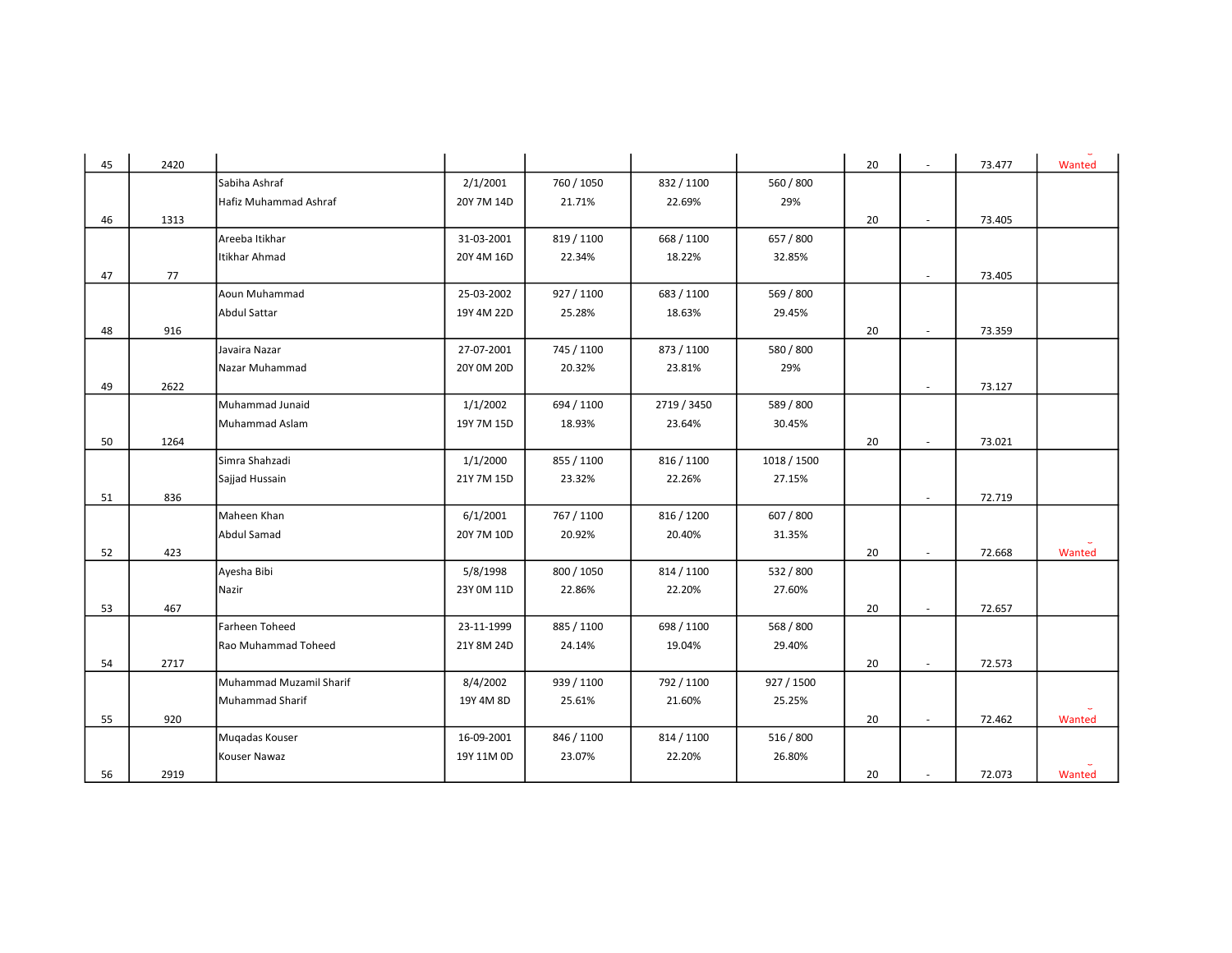| 45 | 2420 |                         |            |            |             |             | 20 |                          | 73.477 | Wanted |
|----|------|-------------------------|------------|------------|-------------|-------------|----|--------------------------|--------|--------|
|    |      | Sabiha Ashraf           | 2/1/2001   | 760 / 1050 | 832 / 1100  | 560 / 800   |    |                          |        |        |
|    |      | Hafiz Muhammad Ashraf   | 20Y 7M 14D | 21.71%     | 22.69%      | 29%         |    |                          |        |        |
| 46 | 1313 |                         |            |            |             |             | 20 |                          | 73.405 |        |
|    |      | Areeba Itikhar          | 31-03-2001 | 819 / 1100 | 668 / 1100  | 657 / 800   |    |                          |        |        |
|    |      | Itikhar Ahmad           | 20Y 4M 16D | 22.34%     | 18.22%      | 32.85%      |    |                          |        |        |
| 47 | 77   |                         |            |            |             |             |    | $\overline{\phantom{a}}$ | 73.405 |        |
|    |      | Aoun Muhammad           | 25-03-2002 | 927 / 1100 | 683 / 1100  | 569 / 800   |    |                          |        |        |
|    |      | <b>Abdul Sattar</b>     | 19Y 4M 22D | 25.28%     | 18.63%      | 29.45%      |    |                          |        |        |
| 48 | 916  |                         |            |            |             |             | 20 |                          | 73.359 |        |
|    |      | Javaira Nazar           | 27-07-2001 | 745 / 1100 | 873 / 1100  | 580 / 800   |    |                          |        |        |
|    |      | Nazar Muhammad          | 20Y 0M 20D | 20.32%     | 23.81%      | 29%         |    |                          |        |        |
| 49 | 2622 |                         |            |            |             |             |    | $\sim$                   | 73.127 |        |
|    |      | Muhammad Junaid         | 1/1/2002   | 694 / 1100 | 2719 / 3450 | 589 / 800   |    |                          |        |        |
|    |      | Muhammad Aslam          | 19Y 7M 15D | 18.93%     | 23.64%      | 30.45%      |    |                          |        |        |
| 50 | 1264 |                         |            |            |             |             | 20 |                          | 73.021 |        |
|    |      | Simra Shahzadi          | 1/1/2000   | 855 / 1100 | 816 / 1100  | 1018 / 1500 |    |                          |        |        |
|    |      | Sajjad Hussain          | 21Y 7M 15D | 23.32%     | 22.26%      | 27.15%      |    |                          |        |        |
| 51 | 836  |                         |            |            |             |             |    | $\overline{\phantom{a}}$ | 72.719 |        |
|    |      | Maheen Khan             | 6/1/2001   | 767 / 1100 | 816 / 1200  | 607 / 800   |    |                          |        |        |
|    |      | Abdul Samad             | 20Y 7M 10D | 20.92%     | 20.40%      | 31.35%      |    |                          |        |        |
| 52 | 423  |                         |            |            |             |             | 20 |                          | 72.668 | Wanted |
|    |      | Ayesha Bibi             | 5/8/1998   | 800 / 1050 | 814 / 1100  | 532 / 800   |    |                          |        |        |
|    |      | Nazir                   | 23Y 0M 11D | 22.86%     | 22.20%      | 27.60%      |    |                          |        |        |
| 53 | 467  |                         |            |            |             |             | 20 | $\sim$                   | 72.657 |        |
|    |      | Farheen Toheed          | 23-11-1999 | 885 / 1100 | 698 / 1100  | 568 / 800   |    |                          |        |        |
|    |      | Rao Muhammad Toheed     | 21Y 8M 24D | 24.14%     | 19.04%      | 29.40%      |    |                          |        |        |
| 54 | 2717 |                         |            |            |             |             | 20 |                          | 72.573 |        |
|    |      | Muhammad Muzamil Sharif | 8/4/2002   | 939 / 1100 | 792 / 1100  | 927 / 1500  |    |                          |        |        |
|    |      | Muhammad Sharif         | 19Y 4M 8D  | 25.61%     | 21.60%      | 25.25%      |    |                          |        |        |
| 55 | 920  |                         |            |            |             |             | 20 | $\sim$                   | 72.462 | Wanted |
|    |      | Mugadas Kouser          | 16-09-2001 | 846 / 1100 | 814 / 1100  | 516 / 800   |    |                          |        |        |
|    |      | Kouser Nawaz            | 19Y 11M 0D | 23.07%     | 22.20%      | 26.80%      |    |                          |        |        |
| 56 | 2919 |                         |            |            |             |             | 20 |                          | 72.073 | Wanted |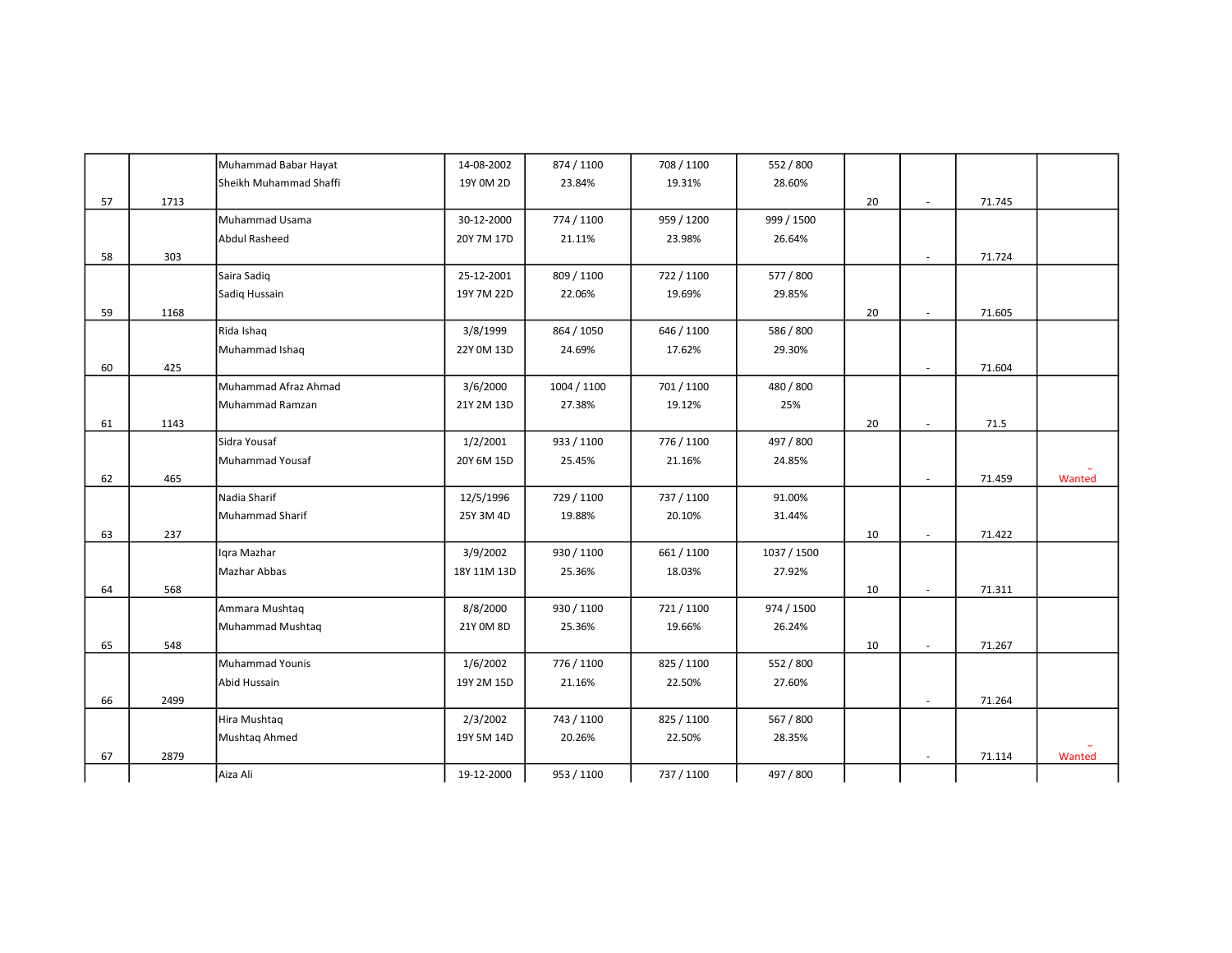|    |      | Muhammad Babar Hayat   | 14-08-2002  | 874 / 1100  | 708 / 1100 | 552 / 800   |    |                          |        |        |
|----|------|------------------------|-------------|-------------|------------|-------------|----|--------------------------|--------|--------|
|    |      | Sheikh Muhammad Shaffi | 19Y 0M 2D   | 23.84%      | 19.31%     | 28.60%      |    |                          |        |        |
| 57 | 1713 |                        |             |             |            |             | 20 | $\sim$                   | 71.745 |        |
|    |      | Muhammad Usama         | 30-12-2000  | 774 / 1100  | 959 / 1200 | 999 / 1500  |    |                          |        |        |
|    |      | <b>Abdul Rasheed</b>   | 20Y 7M 17D  | 21.11%      | 23.98%     | 26.64%      |    |                          |        |        |
| 58 | 303  |                        |             |             |            |             |    | $\sim$                   | 71.724 |        |
|    |      | Saira Sadiq            | 25-12-2001  | 809 / 1100  | 722 / 1100 | 577 / 800   |    |                          |        |        |
|    |      | Sadiq Hussain          | 19Y 7M 22D  | 22.06%      | 19.69%     | 29.85%      |    |                          |        |        |
| 59 | 1168 |                        |             |             |            |             | 20 | $\sim$                   | 71.605 |        |
|    |      | Rida Ishaq             | 3/8/1999    | 864 / 1050  | 646 / 1100 | 586 / 800   |    |                          |        |        |
|    |      | Muhammad Ishaq         | 22Y 0M 13D  | 24.69%      | 17.62%     | 29.30%      |    |                          |        |        |
| 60 | 425  |                        |             |             |            |             |    | $\mathbf{r}$             | 71.604 |        |
|    |      | Muhammad Afraz Ahmad   | 3/6/2000    | 1004 / 1100 | 701 / 1100 | 480 / 800   |    |                          |        |        |
|    |      | Muhammad Ramzan        | 21Y 2M 13D  | 27.38%      | 19.12%     | 25%         |    |                          |        |        |
| 61 | 1143 |                        |             |             |            |             | 20 | $\mathbf{r}$             | 71.5   |        |
|    |      | Sidra Yousaf           | 1/2/2001    | 933 / 1100  | 776 / 1100 | 497 / 800   |    |                          |        |        |
|    |      | Muhammad Yousaf        | 20Y 6M 15D  | 25.45%      | 21.16%     | 24.85%      |    |                          |        |        |
| 62 | 465  |                        |             |             |            |             |    | $\overline{\phantom{a}}$ | 71.459 | Wanted |
|    |      | Nadia Sharif           | 12/5/1996   | 729 / 1100  | 737 / 1100 | 91.00%      |    |                          |        |        |
|    |      | <b>Muhammad Sharif</b> | 25Y 3M 4D   | 19.88%      | 20.10%     | 31.44%      |    |                          |        |        |
| 63 | 237  |                        |             |             |            |             | 10 | $\sim$                   | 71.422 |        |
|    |      | Iqra Mazhar            | 3/9/2002    | 930 / 1100  | 661 / 1100 | 1037 / 1500 |    |                          |        |        |
|    |      | Mazhar Abbas           | 18Y 11M 13D | 25.36%      | 18.03%     | 27.92%      |    |                          |        |        |
| 64 | 568  |                        |             |             |            |             | 10 | ×.                       | 71.311 |        |
|    |      | Ammara Mushtaq         | 8/8/2000    | 930 / 1100  | 721/1100   | 974 / 1500  |    |                          |        |        |
|    |      | Muhammad Mushtaq       | 21Y 0M 8D   | 25.36%      | 19.66%     | 26.24%      |    |                          |        |        |
| 65 | 548  |                        |             |             |            |             | 10 | $\sim$                   | 71.267 |        |
|    |      | Muhammad Younis        | 1/6/2002    | 776 / 1100  | 825 / 1100 | 552 / 800   |    |                          |        |        |
|    |      | Abid Hussain           | 19Y 2M 15D  | 21.16%      | 22.50%     | 27.60%      |    |                          |        |        |
| 66 | 2499 |                        |             |             |            |             |    | ×.                       | 71.264 |        |
|    |      | Hira Mushtaq           | 2/3/2002    | 743 / 1100  | 825 / 1100 | 567 / 800   |    |                          |        |        |
|    |      | Mushtaq Ahmed          | 19Y 5M 14D  | 20.26%      | 22.50%     | 28.35%      |    |                          |        |        |
| 67 | 2879 |                        |             |             |            |             |    | $\sim$                   | 71.114 | Wanted |
|    |      | Aiza Ali               | 19-12-2000  | 953 / 1100  | 737 / 1100 | 497 / 800   |    |                          |        |        |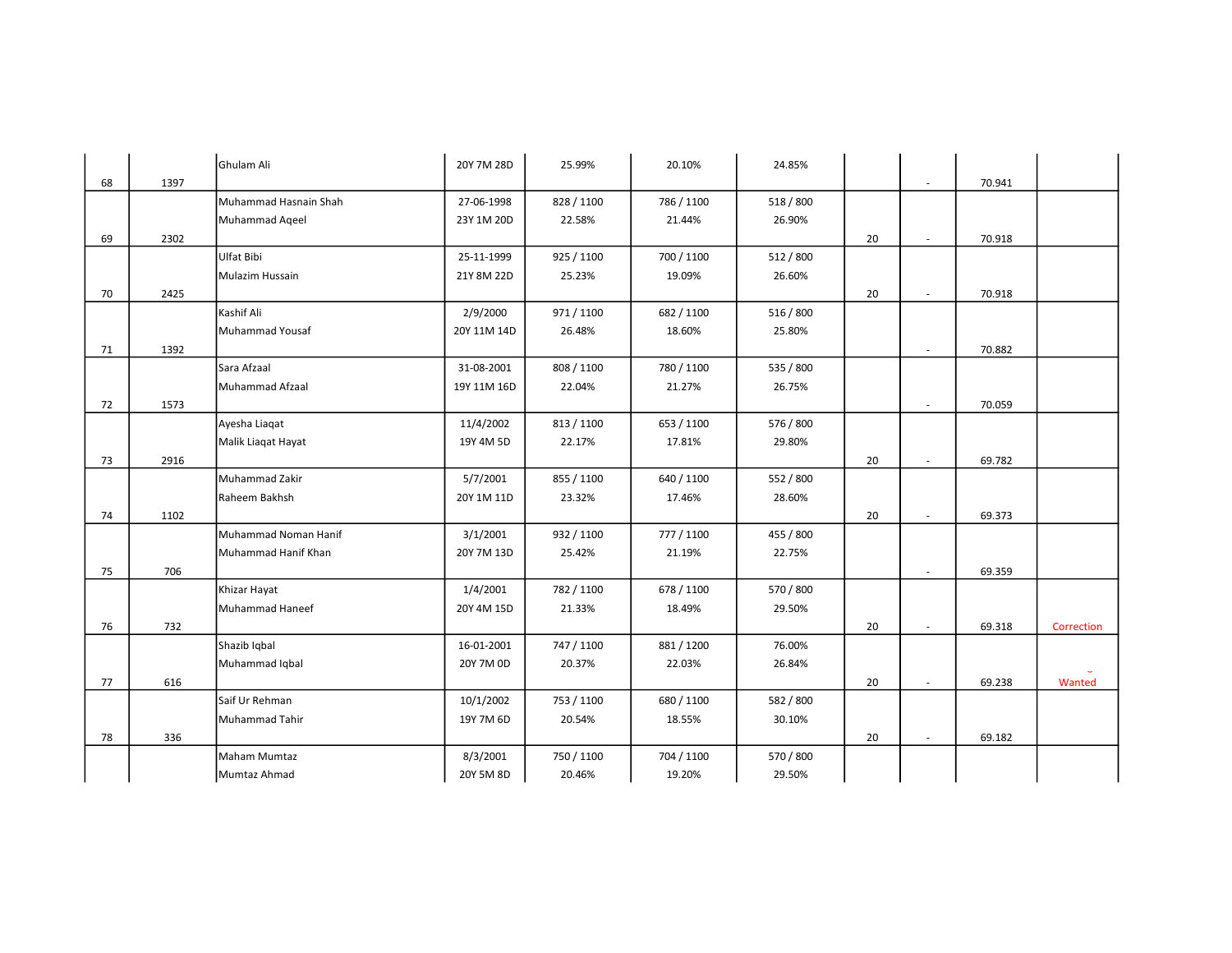|    |      | Ghulam Ali            | 20Y 7M 28D  | 25.99%     | 20.10%     | 24.85%    |    |        |        |            |
|----|------|-----------------------|-------------|------------|------------|-----------|----|--------|--------|------------|
| 68 | 1397 |                       |             |            |            |           |    | $\sim$ | 70.941 |            |
|    |      | Muhammad Hasnain Shah | 27-06-1998  | 828 / 1100 | 786 / 1100 | 518 / 800 |    |        |        |            |
|    |      | Muhammad Ageel        | 23Y 1M 20D  | 22.58%     | 21.44%     | 26.90%    |    |        |        |            |
| 69 | 2302 |                       |             |            |            |           | 20 | $\sim$ | 70.918 |            |
|    |      | Ulfat Bibi            | 25-11-1999  | 925 / 1100 | 700 / 1100 | 512 / 800 |    |        |        |            |
|    |      | Mulazim Hussain       | 21Y 8M 22D  | 25.23%     | 19.09%     | 26.60%    |    |        |        |            |
| 70 | 2425 |                       |             |            |            |           | 20 | $\sim$ | 70.918 |            |
|    |      | Kashif Ali            | 2/9/2000    | 971 / 1100 | 682 / 1100 | 516 / 800 |    |        |        |            |
|    |      | Muhammad Yousaf       | 20Y 11M 14D | 26.48%     | 18.60%     | 25.80%    |    |        |        |            |
| 71 | 1392 |                       |             |            |            |           |    | $\sim$ | 70.882 |            |
|    |      | Sara Afzaal           | 31-08-2001  | 808 / 1100 | 780 / 1100 | 535 / 800 |    |        |        |            |
|    |      | Muhammad Afzaal       | 19Y 11M 16D | 22.04%     | 21.27%     | 26.75%    |    |        |        |            |
| 72 | 1573 |                       |             |            |            |           |    | $\sim$ | 70.059 |            |
|    |      | Ayesha Liaqat         | 11/4/2002   | 813 / 1100 | 653 / 1100 | 576 / 800 |    |        |        |            |
|    |      | Malik Liagat Hayat    | 19Y 4M 5D   | 22.17%     | 17.81%     | 29.80%    |    |        |        |            |
| 73 | 2916 |                       |             |            |            |           | 20 | ×.     | 69.782 |            |
|    |      | Muhammad Zakir        | 5/7/2001    | 855 / 1100 | 640 / 1100 | 552 / 800 |    |        |        |            |
|    |      | Raheem Bakhsh         | 20Y 1M 11D  | 23.32%     | 17.46%     | 28.60%    |    |        |        |            |
| 74 | 1102 |                       |             |            |            |           | 20 | $\sim$ | 69.373 |            |
|    |      | Muhammad Noman Hanif  | 3/1/2001    | 932 / 1100 | 777 / 1100 | 455 / 800 |    |        |        |            |
|    |      | Muhammad Hanif Khan   | 20Y 7M 13D  | 25.42%     | 21.19%     | 22.75%    |    |        |        |            |
| 75 | 706  |                       |             |            |            |           |    |        | 69.359 |            |
|    |      | Khizar Hayat          | 1/4/2001    | 782 / 1100 | 678 / 1100 | 570 / 800 |    |        |        |            |
|    |      | Muhammad Haneef       | 20Y 4M 15D  | 21.33%     | 18.49%     | 29.50%    |    |        |        |            |
| 76 | 732  |                       |             |            |            |           | 20 | $\sim$ | 69.318 | Correction |
|    |      | Shazib Iqbal          | 16-01-2001  | 747 / 1100 | 881 / 1200 | 76.00%    |    |        |        |            |
|    |      | Muhammad Iqbal        | 20Y 7M 0D   | 20.37%     | 22.03%     | 26.84%    |    |        |        |            |
| 77 | 616  |                       |             |            |            |           | 20 | $\sim$ | 69.238 | Wanted     |
|    |      | Saif Ur Rehman        | 10/1/2002   | 753 / 1100 | 680 / 1100 | 582 / 800 |    |        |        |            |
|    |      | Muhammad Tahir        | 19Y 7M 6D   | 20.54%     | 18.55%     | 30.10%    |    |        |        |            |
| 78 | 336  |                       |             |            |            |           | 20 | $\sim$ | 69.182 |            |
|    |      | Maham Mumtaz          | 8/3/2001    | 750 / 1100 | 704 / 1100 | 570 / 800 |    |        |        |            |
|    |      | Mumtaz Ahmad          | 20Y 5M 8D   | 20.46%     | 19.20%     | 29.50%    |    |        |        |            |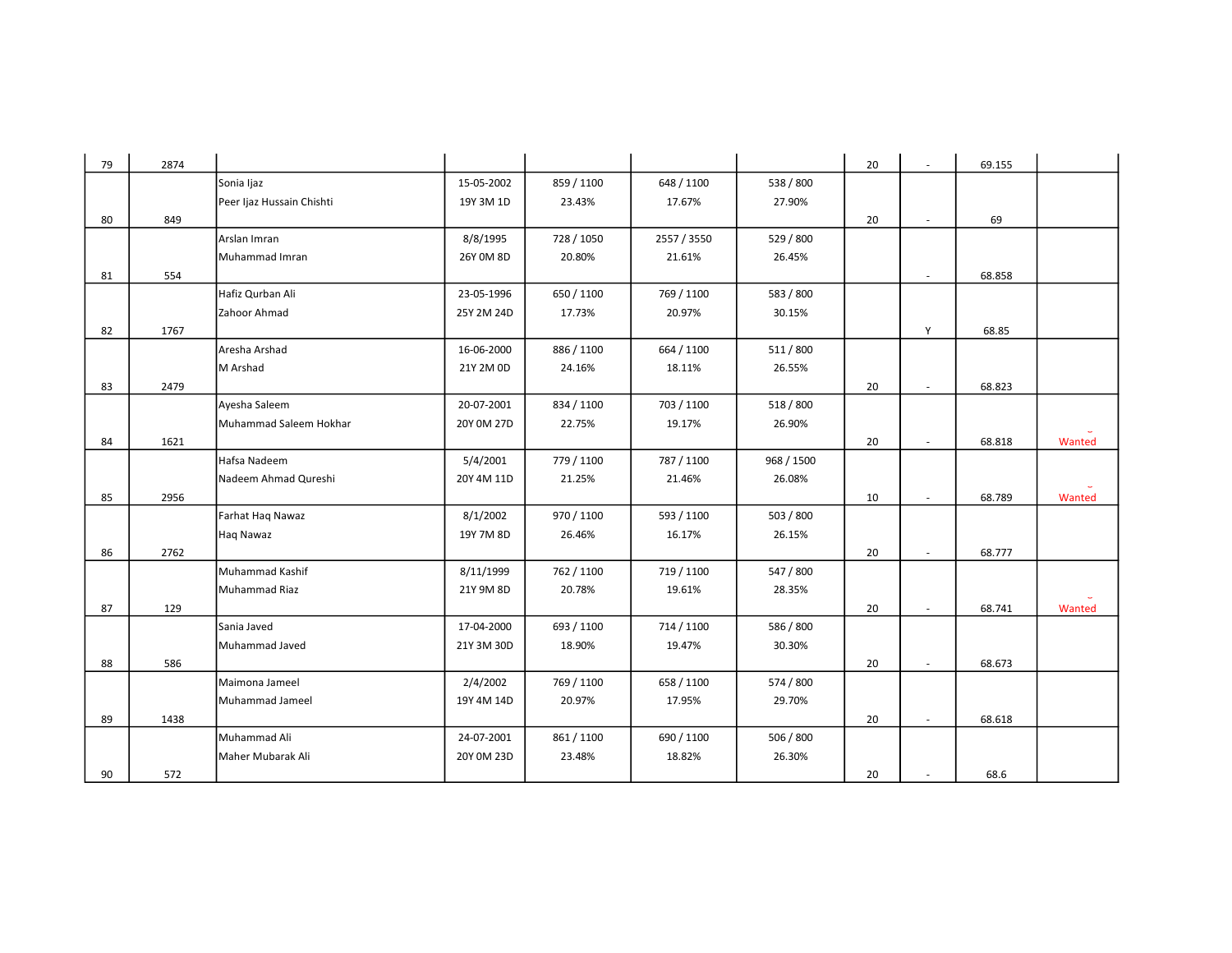| 79 | 2874 |                           |            |            |             |            | 20 | $\sim$ | 69.155 |        |
|----|------|---------------------------|------------|------------|-------------|------------|----|--------|--------|--------|
|    |      | Sonia Ijaz                | 15-05-2002 | 859 / 1100 | 648 / 1100  | 538 / 800  |    |        |        |        |
|    |      | Peer Ijaz Hussain Chishti | 19Y 3M 1D  | 23.43%     | 17.67%      | 27.90%     |    |        |        |        |
| 80 | 849  |                           |            |            |             |            | 20 | ٠      | 69     |        |
|    |      | Arslan Imran              | 8/8/1995   | 728 / 1050 | 2557 / 3550 | 529 / 800  |    |        |        |        |
|    |      | Muhammad Imran            | 26Y 0M 8D  | 20.80%     | 21.61%      | 26.45%     |    |        |        |        |
| 81 | 554  |                           |            |            |             |            |    | $\sim$ | 68.858 |        |
|    |      | Hafiz Qurban Ali          | 23-05-1996 | 650 / 1100 | 769 / 1100  | 583 / 800  |    |        |        |        |
|    |      | Zahoor Ahmad              | 25Y 2M 24D | 17.73%     | 20.97%      | 30.15%     |    |        |        |        |
| 82 | 1767 |                           |            |            |             |            |    | Y      | 68.85  |        |
|    |      | Aresha Arshad             | 16-06-2000 | 886 / 1100 | 664 / 1100  | 511 / 800  |    |        |        |        |
|    |      | M Arshad                  | 21Y 2M 0D  | 24.16%     | 18.11%      | 26.55%     |    |        |        |        |
| 83 | 2479 |                           |            |            |             |            | 20 |        | 68.823 |        |
|    |      | Ayesha Saleem             | 20-07-2001 | 834 / 1100 | 703 / 1100  | 518 / 800  |    |        |        |        |
|    |      | Muhammad Saleem Hokhar    | 20Y 0M 27D | 22.75%     | 19.17%      | 26.90%     |    |        |        |        |
| 84 | 1621 |                           |            |            |             |            | 20 | $\sim$ | 68.818 | Wanted |
|    |      | Hafsa Nadeem              | 5/4/2001   | 779 / 1100 | 787 / 1100  | 968 / 1500 |    |        |        |        |
|    |      | Nadeem Ahmad Qureshi      | 20Y 4M 11D | 21.25%     | 21.46%      | 26.08%     |    |        |        |        |
| 85 | 2956 |                           |            |            |             |            | 10 | $\sim$ | 68.789 | Wanted |
|    |      | Farhat Hag Nawaz          | 8/1/2002   | 970 / 1100 | 593 / 1100  | 503 / 800  |    |        |        |        |
|    |      | Haq Nawaz                 | 19Y 7M 8D  | 26.46%     | 16.17%      | 26.15%     |    |        |        |        |
| 86 | 2762 |                           |            |            |             |            | 20 |        | 68.777 |        |
|    |      | Muhammad Kashif           | 8/11/1999  | 762 / 1100 | 719 / 1100  | 547 / 800  |    |        |        |        |
|    |      | Muhammad Riaz             | 21Y 9M 8D  | 20.78%     | 19.61%      | 28.35%     |    |        |        |        |
| 87 | 129  |                           |            |            |             |            | 20 | ×.     | 68.741 | Wanted |
|    |      | Sania Javed               | 17-04-2000 | 693 / 1100 | 714 / 1100  | 586 / 800  |    |        |        |        |
|    |      | Muhammad Javed            | 21Y 3M 30D | 18.90%     | 19.47%      | 30.30%     |    |        |        |        |
| 88 | 586  |                           |            |            |             |            | 20 |        | 68.673 |        |
|    |      | Maimona Jameel            | 2/4/2002   | 769 / 1100 | 658 / 1100  | 574 / 800  |    |        |        |        |
|    |      | Muhammad Jameel           | 19Y 4M 14D | 20.97%     | 17.95%      | 29.70%     |    |        |        |        |
| 89 | 1438 |                           |            |            |             |            | 20 | $\sim$ | 68.618 |        |
|    |      | Muhammad Ali              | 24-07-2001 | 861 / 1100 | 690 / 1100  | 506 / 800  |    |        |        |        |
|    |      | Maher Mubarak Ali         | 20Y 0M 23D | 23.48%     | 18.82%      | 26.30%     |    |        |        |        |
| 90 | 572  |                           |            |            |             |            | 20 |        | 68.6   |        |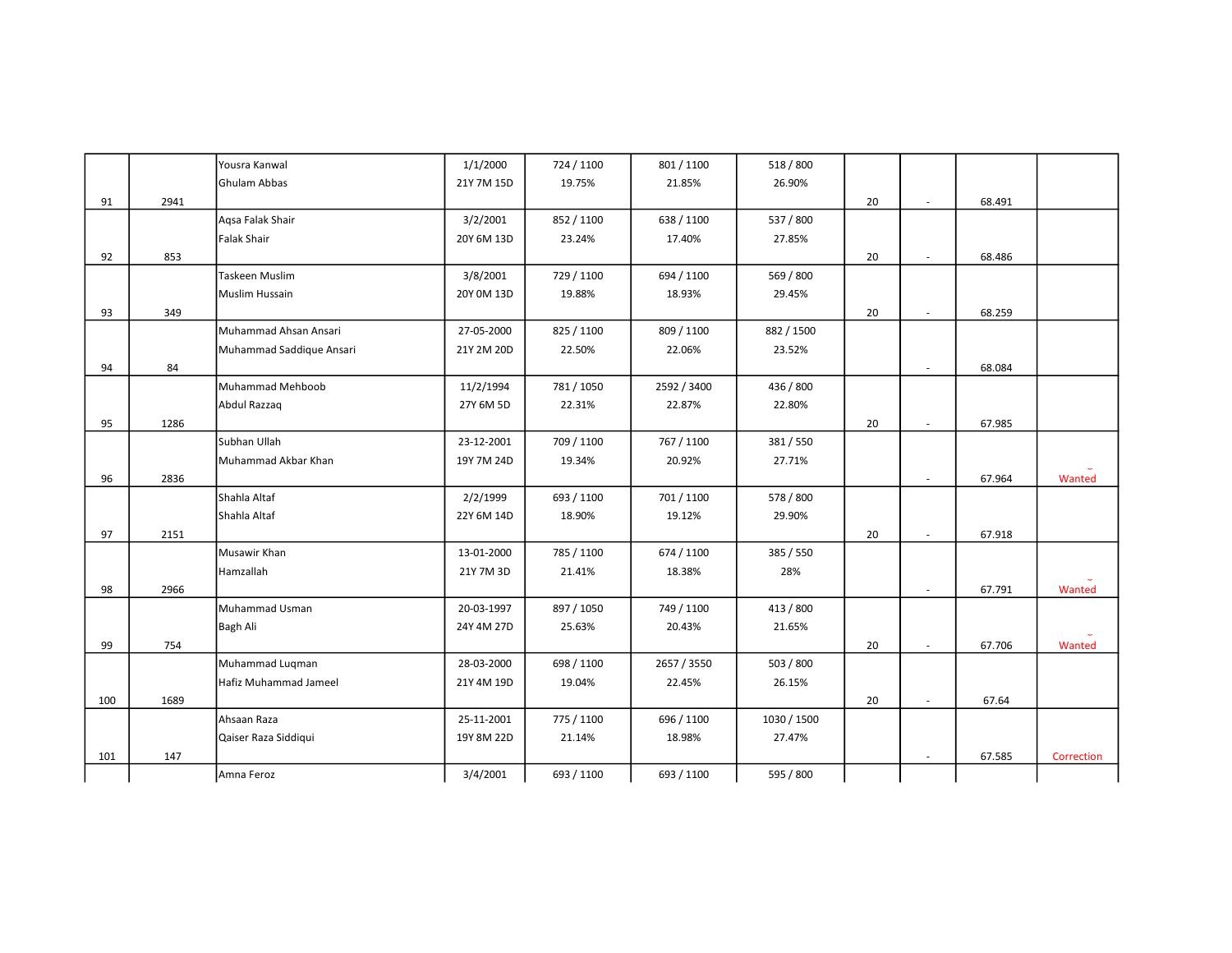|     |      | Yousra Kanwal            | 1/1/2000   | 724 / 1100 | 801 / 1100  | 518 / 800   |    |                             |        |            |
|-----|------|--------------------------|------------|------------|-------------|-------------|----|-----------------------------|--------|------------|
|     |      | Ghulam Abbas             | 21Y 7M 15D | 19.75%     | 21.85%      | 26.90%      |    |                             |        |            |
| 91  | 2941 |                          |            |            |             |             | 20 | $\sim$                      | 68.491 |            |
|     |      | Agsa Falak Shair         | 3/2/2001   | 852 / 1100 | 638 / 1100  | 537 / 800   |    |                             |        |            |
|     |      | <b>Falak Shair</b>       | 20Y 6M 13D | 23.24%     | 17.40%      | 27.85%      |    |                             |        |            |
| 92  | 853  |                          |            |            |             |             | 20 | $\sim$                      | 68.486 |            |
|     |      | Taskeen Muslim           | 3/8/2001   | 729 / 1100 | 694 / 1100  | 569 / 800   |    |                             |        |            |
|     |      | Muslim Hussain           | 20Y 0M 13D | 19.88%     | 18.93%      | 29.45%      |    |                             |        |            |
| 93  | 349  |                          |            |            |             |             | 20 | $\sim$                      | 68.259 |            |
|     |      | Muhammad Ahsan Ansari    | 27-05-2000 | 825 / 1100 | 809 / 1100  | 882 / 1500  |    |                             |        |            |
|     |      | Muhammad Saddique Ansari | 21Y 2M 20D | 22.50%     | 22.06%      | 23.52%      |    |                             |        |            |
| 94  | 84   |                          |            |            |             |             |    | $\sim$                      | 68.084 |            |
|     |      | Muhammad Mehboob         | 11/2/1994  | 781 / 1050 | 2592 / 3400 | 436 / 800   |    |                             |        |            |
|     |      | Abdul Razzaq             | 27Y 6M 5D  | 22.31%     | 22.87%      | 22.80%      |    |                             |        |            |
| 95  | 1286 |                          |            |            |             |             | 20 | ×.                          | 67.985 |            |
|     |      | Subhan Ullah             | 23-12-2001 | 709 / 1100 | 767 / 1100  | 381/550     |    |                             |        |            |
|     |      | Muhammad Akbar Khan      | 19Y 7M 24D | 19.34%     | 20.92%      | 27.71%      |    |                             |        |            |
| 96  | 2836 |                          |            |            |             |             |    | ÷.                          | 67.964 | Wanted     |
|     |      | Shahla Altaf             | 2/2/1999   | 693 / 1100 | 701 / 1100  | 578 / 800   |    |                             |        |            |
|     |      | Shahla Altaf             | 22Y 6M 14D | 18.90%     | 19.12%      | 29.90%      |    |                             |        |            |
| 97  | 2151 |                          |            |            |             |             | 20 | $\mathcal{L}_{\mathcal{A}}$ | 67.918 |            |
|     |      | Musawir Khan             | 13-01-2000 | 785 / 1100 | 674 / 1100  | 385 / 550   |    |                             |        |            |
|     |      | Hamzallah                | 21Y 7M 3D  | 21.41%     | 18.38%      | 28%         |    |                             |        |            |
| 98  | 2966 |                          |            |            |             |             |    | ÷.                          | 67.791 | Wanted     |
|     |      | Muhammad Usman           | 20-03-1997 | 897 / 1050 | 749 / 1100  | 413 / 800   |    |                             |        |            |
|     |      | Bagh Ali                 | 24Y 4M 27D | 25.63%     | 20.43%      | 21.65%      |    |                             |        |            |
| 99  | 754  |                          |            |            |             |             | 20 | ×.                          | 67.706 | Wanted     |
|     |      | Muhammad Luqman          | 28-03-2000 | 698 / 1100 | 2657 / 3550 | 503 / 800   |    |                             |        |            |
|     |      | Hafiz Muhammad Jameel    | 21Y 4M 19D | 19.04%     | 22.45%      | 26.15%      |    |                             |        |            |
| 100 | 1689 |                          |            |            |             |             | 20 | ×.                          | 67.64  |            |
|     |      | Ahsaan Raza              | 25-11-2001 | 775 / 1100 | 696 / 1100  | 1030 / 1500 |    |                             |        |            |
|     |      | Qaiser Raza Siddiqui     | 19Y 8M 22D | 21.14%     | 18.98%      | 27.47%      |    |                             |        |            |
| 101 | 147  |                          |            |            |             |             |    | $\sim$                      | 67.585 | Correction |
|     |      | Amna Feroz               | 3/4/2001   | 693 / 1100 | 693 / 1100  | 595 / 800   |    |                             |        |            |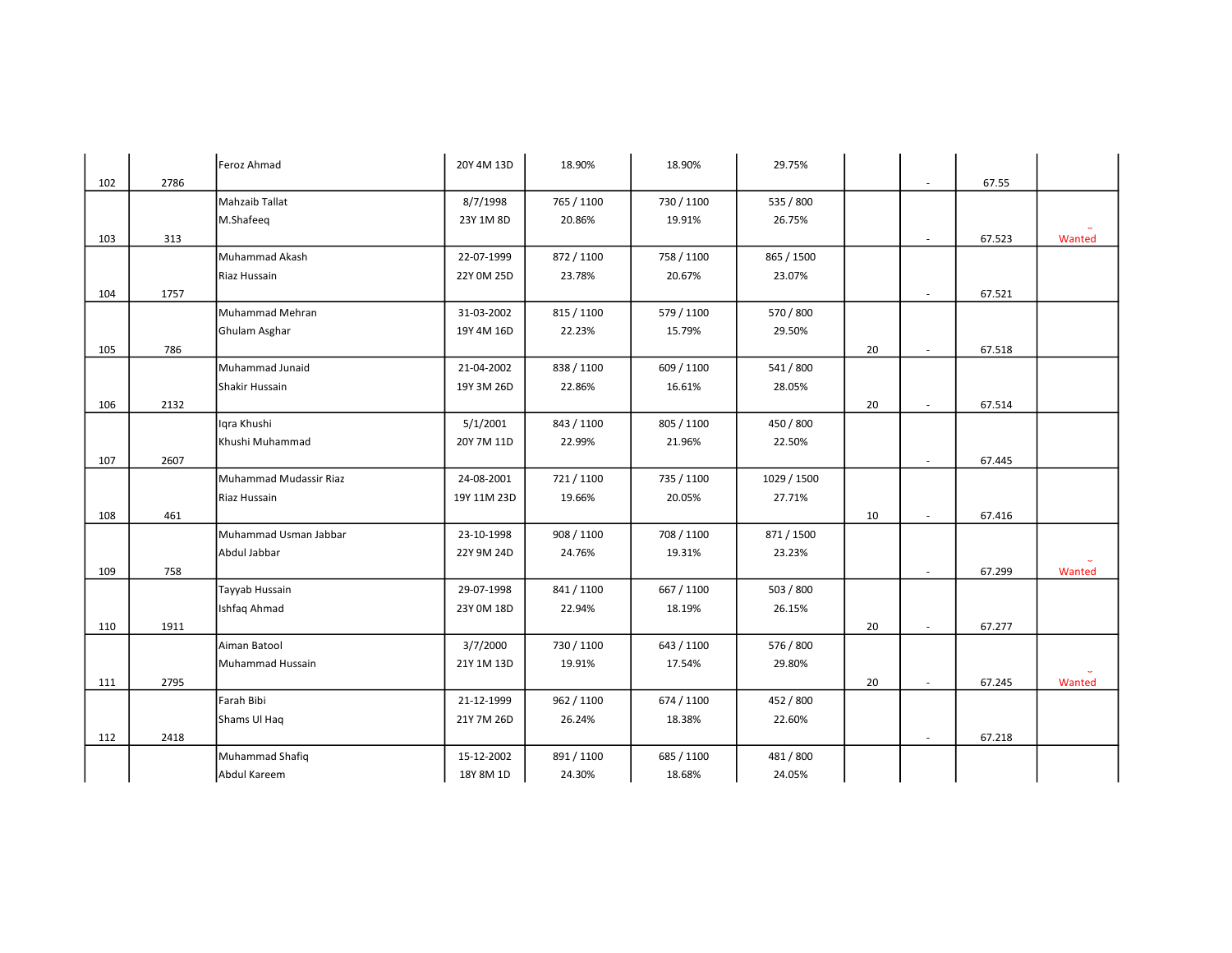|     |      | Feroz Ahmad            | 20Y 4M 13D  | 18.90%     | 18.90%     | 29.75%      |    |                          |        |        |
|-----|------|------------------------|-------------|------------|------------|-------------|----|--------------------------|--------|--------|
| 102 | 2786 |                        |             |            |            |             |    | $\sim$                   | 67.55  |        |
|     |      | Mahzaib Tallat         | 8/7/1998    | 765 / 1100 | 730 / 1100 | 535 / 800   |    |                          |        |        |
|     |      | M.Shafeeq              | 23Y 1M 8D   | 20.86%     | 19.91%     | 26.75%      |    |                          |        |        |
| 103 | 313  |                        |             |            |            |             |    | $\sim$                   | 67.523 | Wanted |
|     |      | Muhammad Akash         | 22-07-1999  | 872 / 1100 | 758 / 1100 | 865 / 1500  |    |                          |        |        |
|     |      | Riaz Hussain           | 22Y 0M 25D  | 23.78%     | 20.67%     | 23.07%      |    |                          |        |        |
| 104 | 1757 |                        |             |            |            |             |    | $\overline{\phantom{a}}$ | 67.521 |        |
|     |      | Muhammad Mehran        | 31-03-2002  | 815 / 1100 | 579 / 1100 | 570 / 800   |    |                          |        |        |
|     |      | Ghulam Asghar          | 19Y 4M 16D  | 22.23%     | 15.79%     | 29.50%      |    |                          |        |        |
| 105 | 786  |                        |             |            |            |             | 20 | $\sim$                   | 67.518 |        |
|     |      | Muhammad Junaid        | 21-04-2002  | 838 / 1100 | 609 / 1100 | 541 / 800   |    |                          |        |        |
|     |      | Shakir Hussain         | 19Y 3M 26D  | 22.86%     | 16.61%     | 28.05%      |    |                          |        |        |
| 106 | 2132 |                        |             |            |            |             | 20 | $\sim$                   | 67.514 |        |
|     |      | Igra Khushi            | 5/1/2001    | 843 / 1100 | 805 / 1100 | 450 / 800   |    |                          |        |        |
|     |      | Khushi Muhammad        | 20Y 7M 11D  | 22.99%     | 21.96%     | 22.50%      |    |                          |        |        |
| 107 | 2607 |                        |             |            |            |             |    | $\sim$                   | 67.445 |        |
|     |      | Muhammad Mudassir Riaz | 24-08-2001  | 721/1100   | 735 / 1100 | 1029 / 1500 |    |                          |        |        |
|     |      | Riaz Hussain           | 19Y 11M 23D | 19.66%     | 20.05%     | 27.71%      |    |                          |        |        |
| 108 | 461  |                        |             |            |            |             | 10 | $\sim$                   | 67.416 |        |
|     |      | Muhammad Usman Jabbar  | 23-10-1998  | 908 / 1100 | 708 / 1100 | 871 / 1500  |    |                          |        |        |
|     |      | Abdul Jabbar           | 22Y 9M 24D  | 24.76%     | 19.31%     | 23.23%      |    |                          |        |        |
| 109 | 758  |                        |             |            |            |             |    |                          | 67.299 | Wanted |
|     |      | Tayyab Hussain         | 29-07-1998  | 841 / 1100 | 667 / 1100 | 503 / 800   |    |                          |        |        |
|     |      | Ishfaq Ahmad           | 23Y 0M 18D  | 22.94%     | 18.19%     | 26.15%      |    |                          |        |        |
| 110 | 1911 |                        |             |            |            |             | 20 | $\sim$                   | 67.277 |        |
|     |      | Aiman Batool           | 3/7/2000    | 730 / 1100 | 643 / 1100 | 576 / 800   |    |                          |        |        |
|     |      | Muhammad Hussain       | 21Y 1M 13D  | 19.91%     | 17.54%     | 29.80%      |    |                          |        |        |
| 111 | 2795 |                        |             |            |            |             | 20 | $\sim$                   | 67.245 | Wanted |
|     |      | Farah Bibi             | 21-12-1999  | 962 / 1100 | 674 / 1100 | 452 / 800   |    |                          |        |        |
|     |      | Shams Ul Haq           | 21Y 7M 26D  | 26.24%     | 18.38%     | 22.60%      |    |                          |        |        |
| 112 | 2418 |                        |             |            |            |             |    | $\sim$                   | 67.218 |        |
|     |      | Muhammad Shafiq        | 15-12-2002  | 891 / 1100 | 685 / 1100 | 481 / 800   |    |                          |        |        |
|     |      | Abdul Kareem           | 18Y 8M 1D   | 24.30%     | 18.68%     | 24.05%      |    |                          |        |        |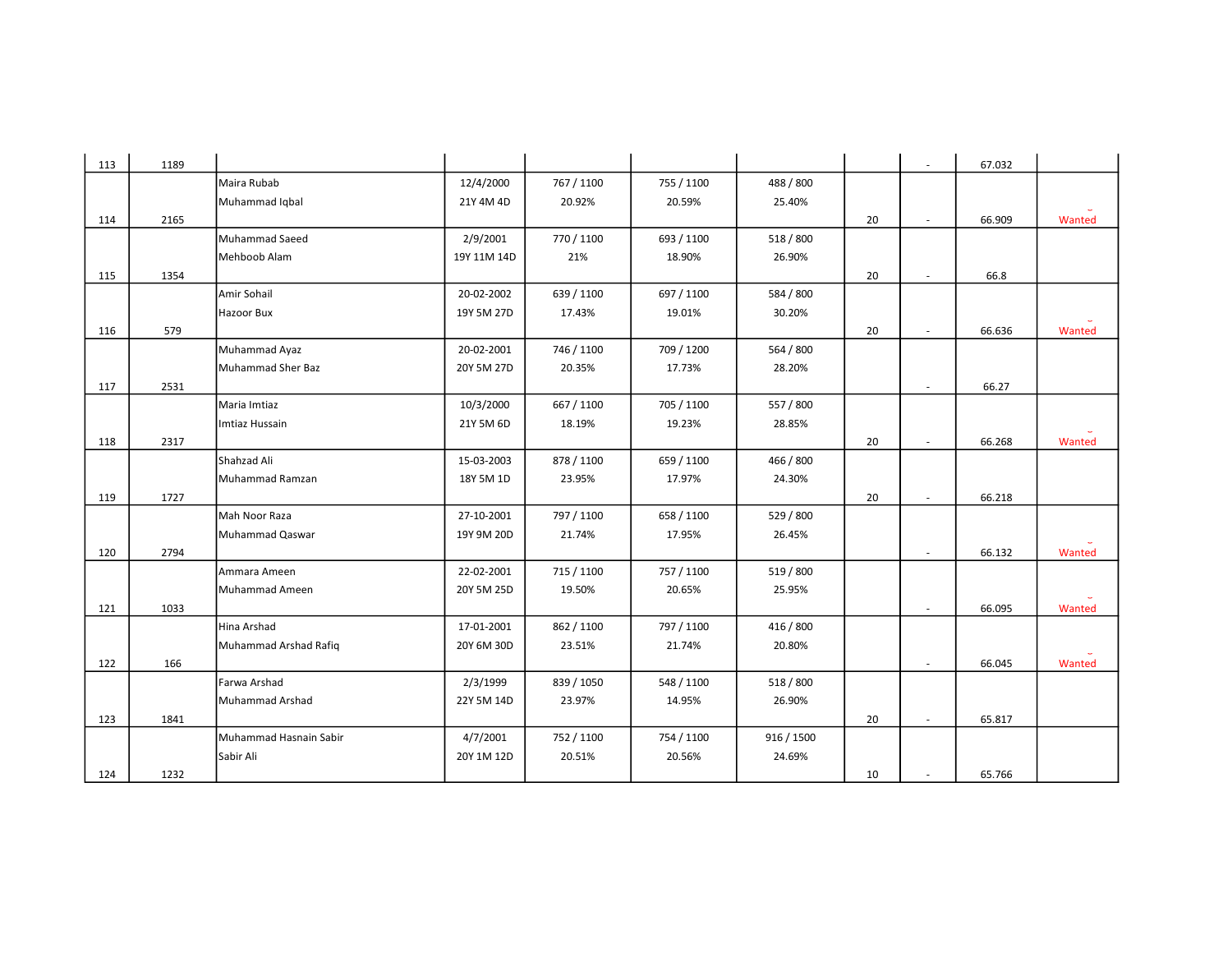| 113 | 1189 |                        |             |            |            |            |    | $\sim$                   | 67.032 |        |
|-----|------|------------------------|-------------|------------|------------|------------|----|--------------------------|--------|--------|
|     |      | Maira Rubab            | 12/4/2000   | 767 / 1100 | 755 / 1100 | 488 / 800  |    |                          |        |        |
|     |      | Muhammad Iqbal         | 21Y 4M 4D   | 20.92%     | 20.59%     | 25.40%     |    |                          |        |        |
| 114 | 2165 |                        |             |            |            |            | 20 |                          | 66.909 | Wanted |
|     |      | Muhammad Saeed         | 2/9/2001    | 770 / 1100 | 693 / 1100 | 518 / 800  |    |                          |        |        |
|     |      | Mehboob Alam           | 19Y 11M 14D | 21%        | 18.90%     | 26.90%     |    |                          |        |        |
| 115 | 1354 |                        |             |            |            |            | 20 | ×.                       | 66.8   |        |
|     |      | Amir Sohail            | 20-02-2002  | 639 / 1100 | 697 / 1100 | 584 / 800  |    |                          |        |        |
|     |      | Hazoor Bux             | 19Y 5M 27D  | 17.43%     | 19.01%     | 30.20%     |    |                          |        |        |
| 116 | 579  |                        |             |            |            |            | 20 | $\sim$                   | 66.636 | Wanted |
|     |      | Muhammad Ayaz          | 20-02-2001  | 746 / 1100 | 709 / 1200 | 564 / 800  |    |                          |        |        |
|     |      | Muhammad Sher Baz      | 20Y 5M 27D  | 20.35%     | 17.73%     | 28.20%     |    |                          |        |        |
| 117 | 2531 |                        |             |            |            |            |    |                          | 66.27  |        |
|     |      | Maria Imtiaz           | 10/3/2000   | 667 / 1100 | 705 / 1100 | 557 / 800  |    |                          |        |        |
|     |      | Imtiaz Hussain         | 21Y 5M 6D   | 18.19%     | 19.23%     | 28.85%     |    |                          |        |        |
| 118 | 2317 |                        |             |            |            |            | 20 | $\sim$                   | 66.268 | Wanted |
|     |      | Shahzad Ali            | 15-03-2003  | 878 / 1100 | 659 / 1100 | 466 / 800  |    |                          |        |        |
|     |      | Muhammad Ramzan        | 18Y 5M 1D   | 23.95%     | 17.97%     | 24.30%     |    |                          |        |        |
| 119 | 1727 |                        |             |            |            |            | 20 | ٠                        | 66.218 |        |
|     |      | Mah Noor Raza          | 27-10-2001  | 797 / 1100 | 658 / 1100 | 529 / 800  |    |                          |        |        |
|     |      | Muhammad Qaswar        | 19Y 9M 20D  | 21.74%     | 17.95%     | 26.45%     |    |                          |        |        |
| 120 | 2794 |                        |             |            |            |            |    | $\sim$                   | 66.132 | Wanted |
|     |      | Ammara Ameen           | 22-02-2001  | 715 / 1100 | 757 / 1100 | 519 / 800  |    |                          |        |        |
|     |      | Muhammad Ameen         | 20Y 5M 25D  | 19.50%     | 20.65%     | 25.95%     |    |                          |        |        |
| 121 | 1033 |                        |             |            |            |            |    | $\overline{\phantom{a}}$ | 66.095 | Wanted |
|     |      | Hina Arshad            | 17-01-2001  | 862 / 1100 | 797 / 1100 | 416 / 800  |    |                          |        |        |
|     |      | Muhammad Arshad Rafiq  | 20Y 6M 30D  | 23.51%     | 21.74%     | 20.80%     |    |                          |        |        |
| 122 | 166  |                        |             |            |            |            |    |                          | 66.045 | Wanted |
|     |      | Farwa Arshad           | 2/3/1999    | 839 / 1050 | 548 / 1100 | 518 / 800  |    |                          |        |        |
|     |      | Muhammad Arshad        | 22Y 5M 14D  | 23.97%     | 14.95%     | 26.90%     |    |                          |        |        |
| 123 | 1841 |                        |             |            |            |            | 20 | $\sim$                   | 65.817 |        |
|     |      | Muhammad Hasnain Sabir | 4/7/2001    | 752 / 1100 | 754 / 1100 | 916 / 1500 |    |                          |        |        |
|     |      | Sabir Ali              | 20Y 1M 12D  | 20.51%     | 20.56%     | 24.69%     |    |                          |        |        |
| 124 | 1232 |                        |             |            |            |            | 10 | $\sim$                   | 65.766 |        |